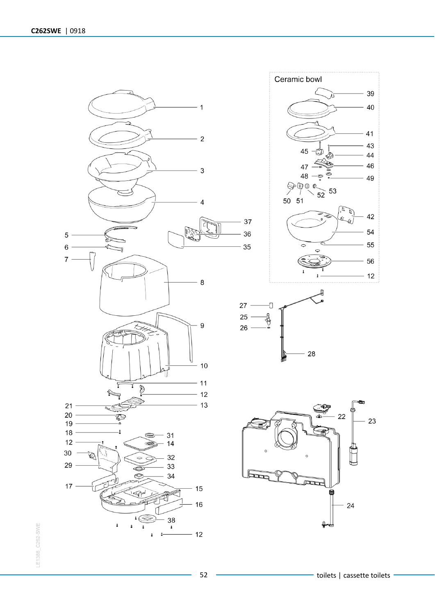







52 **The Contract Contract Contract Contract Contract Contract Contract Contract Contract Contract Contract Contract Contract Contract Contract Contract Contract Contract Contract Contract Contract Contract Contract Contrac**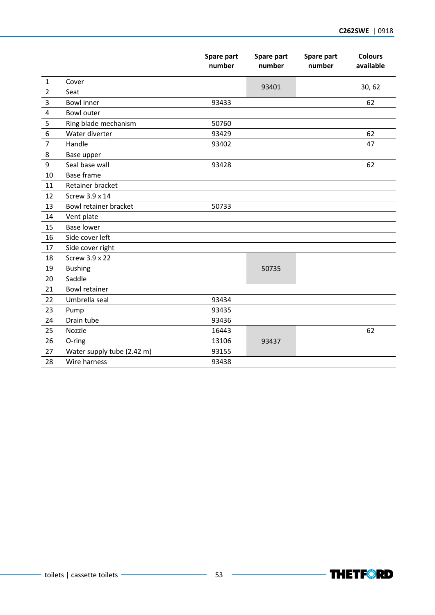|                         |                            | Spare part<br>number | Spare part<br>number | Spare part<br>number | <b>Colours</b><br>available |
|-------------------------|----------------------------|----------------------|----------------------|----------------------|-----------------------------|
| $\mathbf{1}$            | Cover                      |                      |                      |                      |                             |
| $\overline{2}$          | Seat                       |                      | 93401                |                      | 30, 62                      |
| 3                       | <b>Bowl</b> inner          | 93433                |                      |                      | 62                          |
| $\overline{\mathbf{4}}$ | <b>Bowl outer</b>          |                      |                      |                      |                             |
| 5                       | Ring blade mechanism       | 50760                |                      |                      |                             |
| $\boldsymbol{6}$        | Water diverter             | 93429                |                      |                      | 62                          |
| $\overline{7}$          | Handle                     | 93402                |                      |                      | 47                          |
| 8                       | Base upper                 |                      |                      |                      |                             |
| 9                       | Seal base wall<br>93428    |                      |                      | 62                   |                             |
| 10                      | Base frame                 |                      |                      |                      |                             |
| 11                      | Retainer bracket           |                      |                      |                      |                             |
| 12                      | Screw 3.9 x 14             |                      |                      |                      |                             |
| 13                      | Bowl retainer bracket      | 50733                |                      |                      |                             |
| 14                      | Vent plate                 |                      |                      |                      |                             |
| 15                      | <b>Base lower</b>          |                      |                      |                      |                             |
| 16                      | Side cover left            |                      |                      |                      |                             |
| 17                      | Side cover right           |                      |                      |                      |                             |
| 18                      | Screw 3.9 x 22             |                      |                      |                      |                             |
| 19                      | <b>Bushing</b>             |                      | 50735                |                      |                             |
| 20                      | Saddle                     |                      |                      |                      |                             |
| 21                      | <b>Bowl retainer</b>       |                      |                      |                      |                             |
| 22                      | Umbrella seal              | 93434                |                      |                      |                             |
| 23                      | Pump                       | 93435                |                      |                      |                             |
| 24                      | Drain tube                 | 93436                |                      |                      |                             |
| 25                      | Nozzle                     | 16443                |                      |                      | 62                          |
| 26                      | O-ring                     | 13106                | 93437                |                      |                             |
| 27                      | Water supply tube (2.42 m) | 93155                |                      |                      |                             |
| 28                      | Wire harness               | 93438                |                      |                      |                             |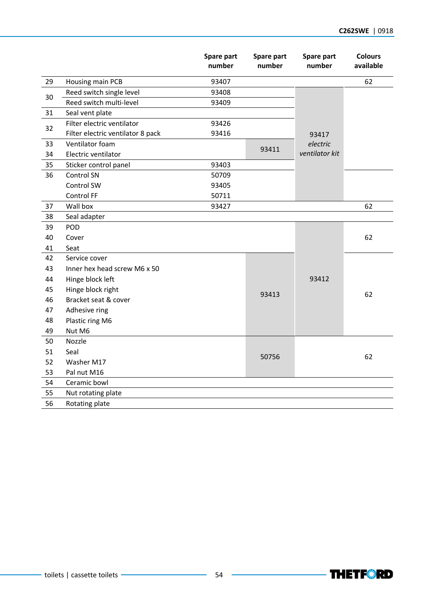|    |                                   | Spare part<br>number | Spare part<br>number | Spare part<br>number       | <b>Colours</b><br>available |
|----|-----------------------------------|----------------------|----------------------|----------------------------|-----------------------------|
| 29 | Housing main PCB                  | 93407                |                      |                            | 62                          |
| 30 | Reed switch single level          | 93408                |                      |                            |                             |
|    | Reed switch multi-level           | 93409                |                      |                            |                             |
| 31 | Seal vent plate                   |                      |                      |                            |                             |
| 32 | Filter electric ventilator        | 93426                |                      |                            |                             |
|    | Filter electric ventilator 8 pack | 93416                |                      | 93417                      |                             |
| 33 | Ventilator foam                   |                      |                      | electric<br>ventilator kit |                             |
| 34 | Electric ventilator               |                      | 93411                |                            |                             |
| 35 | Sticker control panel             | 93403                |                      |                            |                             |
| 36 | Control SN                        | 50709                |                      |                            |                             |
|    | Control SW                        | 93405                |                      |                            |                             |
|    | Control FF                        | 50711                |                      |                            |                             |
| 37 | Wall box                          | 93427                |                      |                            | 62                          |
| 38 | Seal adapter                      |                      |                      |                            |                             |
| 39 | POD                               |                      |                      |                            |                             |
| 40 | Cover                             |                      |                      |                            | 62                          |
| 41 | Seat                              |                      |                      |                            |                             |
| 42 | Service cover                     |                      |                      |                            |                             |
| 43 | Inner hex head screw M6 x 50      |                      |                      | 93412                      |                             |
| 44 | Hinge block left                  |                      |                      |                            | 62                          |
| 45 | Hinge block right                 |                      | 93413                |                            |                             |
| 46 | Bracket seat & cover              |                      |                      |                            |                             |
| 47 | Adhesive ring                     |                      |                      |                            |                             |
| 48 | Plastic ring M6                   |                      |                      |                            |                             |
| 49 | Nut M6                            |                      |                      |                            |                             |
| 50 | Nozzle                            |                      |                      |                            |                             |
| 51 | Seal                              |                      | 50756                |                            | 62                          |
| 52 | Washer M17                        |                      |                      |                            |                             |
| 53 | Pal nut M16                       |                      |                      |                            |                             |
| 54 | Ceramic bowl                      |                      |                      |                            |                             |
| 55 | Nut rotating plate                |                      |                      |                            |                             |
| 56 | Rotating plate                    |                      |                      |                            |                             |